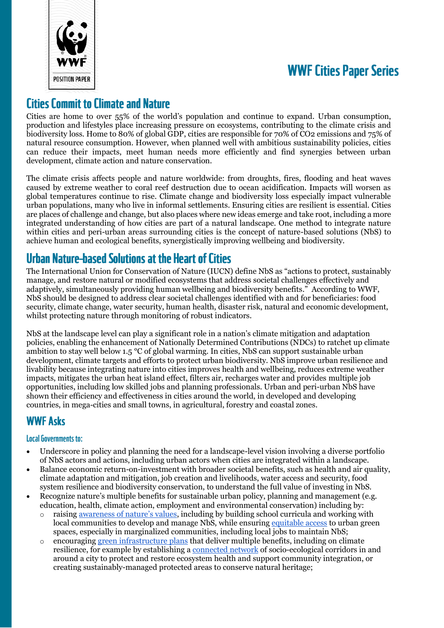

# **WWF Cities Paper Series**

## **Cities Commit to Climate and Nature**

Cities are home to over 55% of the world's population and continue to expand. Urban consumption, production and lifestyles place increasing pressure on ecosystems, contributing to the climate crisis and biodiversity loss. Home to 80% of global GDP, cities are responsible for 70% of CO2 emissions and 75% of natural resource consumption. However, when planned well with ambitious sustainability policies, cities can reduce their impacts, meet human needs more efficiently and find synergies between urban development, climate action and nature conservation.

The climate crisis affects people and nature worldwide: from droughts, fires, flooding and heat waves caused by extreme weather to coral reef destruction due to ocean acidification. Impacts will worsen as global temperatures continue to rise. Climate change and biodiversity loss especially impact vulnerable urban populations, many who live in informal settlements. Ensuring cities are resilient is essential. Cities are places of challenge and change, but also places where new ideas emerge and take root, including a more integrated understanding of how cities are part of a natural landscape. One method to integrate nature within cities and peri-urban areas surrounding cities is the concept of nature-based solutions (NbS) to achieve human and ecological benefits, synergistically improving wellbeing and biodiversity.

# **Urban Nature-based Solutions at the Heart of Cities**

The International Union for Conservation of Nature (IUCN) define NbS as "actions to protect, sustainably manage, and restore natural or modified ecosystems that address societal challenges effectively and adaptively, simultaneously providing human wellbeing and biodiversity benefits." According to WWF, NbS should be designed to address clear societal challenges identified with and for beneficiaries: food security, climate change, water security, human health, disaster risk, natural and economic development, whilst protecting nature through monitoring of robust indicators.

NbS at the landscape level can play a significant role in a nation's climate mitigation and adaptation policies, enabling the enhancement of Nationally Determined Contributions (NDCs) to ratchet up climate ambition to stay well below 1.5 °C of global warming. In cities, NbS can support sustainable urban development, climate targets and efforts to protect urban biodiversity. NbS improve urban resilience and livability because integrating nature into cities improves health and wellbeing, reduces extreme weather impacts, mitigates the urban heat island effect, filters air, recharges water and provides multiple job opportunities, including low skilled jobs and planning professionals. Urban and peri-urban NbS have shown their efficiency and effectiveness in cities around the world, in developed and developing countries, in mega-cities and small towns, in agricultural, forestry and coastal zones.

## **WWF Asks**

#### **Local Governments to:**

- Underscore in policy and planning the need for a landscape-level vision involving a diverse portfolio of NbS actors and actions, including urban actors when cities are integrated within a landscape.
- Balance economic return-on-investment with broader societal benefits, such as health and air quality, climate adaptation and mitigation, job creation and livelihoods, water access and security, food system resilience and biodiversity conservation, to understand the full value of investing in NbS.
- Recognize nature's multiple benefits for sustainable urban policy, planning and management (e.g. education, health, climate action, employment and environmental conservation) including by:
	- o raising [awareness of nature's values](https://wwfint.awsassets.panda.org/downloads/nature_in_all_goals_publication__2019__1.pdf), including by building school curricula and working with local communities to develop and manage NbS, while ensuring [equitable access](https://wwfint.awsassets.panda.org/downloads/nature_in_all_goals_2020.pdf) to urban green spaces, especially in marginalized communities, including local jobs to maintain NbS;
	- o encouraging [green infrastructure plans](https://wwfafrica.awsassets.panda.org/downloads/green_infrastructure_in_african_cities.pdf?31761/The-case-for-investment-in-green-infrastructure-in-African-cities) that deliver multiple benefits, including on climate resilience, for example by establishing a [connected network](https://wwfint.awsassets.panda.org/downloads/nature_in_all_goals_2020.pdf) of socio-ecological corridors in and around a city to protect and restore ecosystem health and support community integration, or creating sustainably-managed protected areas to conserve natural heritage;